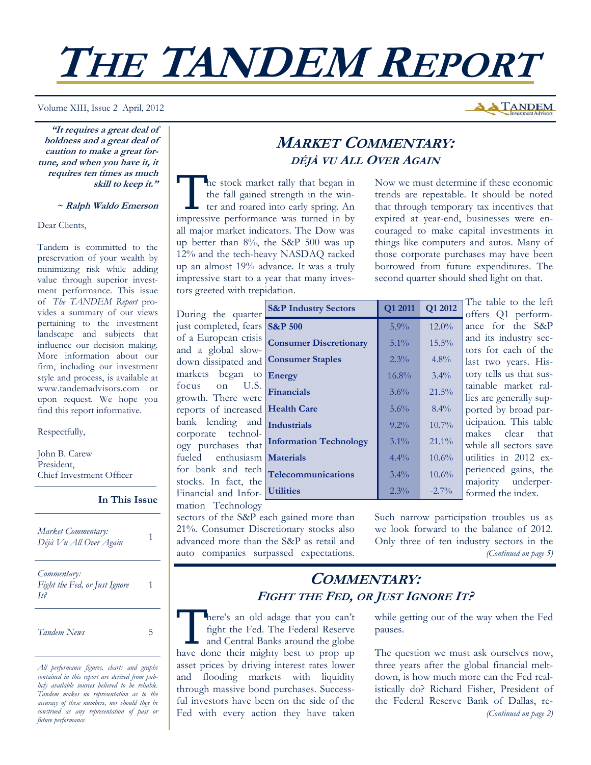# **THE TANDEM REPORT**

Volume XIII, Issue 2 April, 2012

**"It requires a great deal of boldness and a great deal of caution to make a great fortune, and when you have it, it requires ten times as much skill to keep it."** 

#### **~ Ralph Waldo Emerson**

Dear Clients,

Tandem is committed to the preservation of your wealth by minimizing risk while adding value through superior investment performance. This issue of *The TANDEM Report* provides a summary of our views pertaining to the investment landscape and subjects that influence our decision making. More information about our firm, including our investment style and process, is available at www.tandemadvisors.com or upon request. We hope you find this report informative.

#### Respectfully,

John B. Carew President, Chief Investment Officer

**In This Issue**

| Market Commentary:<br>Déjà Vu All Over Again        | 1 |
|-----------------------------------------------------|---|
| Commentary:<br>Fight the Fed, or Just Ignore<br>It? |   |

*Tandem News* 5

*All performance figures, charts and graphs contained in this report are derived from publicly available sources believed to be reliable. Tandem makes no representation as to the accuracy of these numbers, nor should they be construed as any representation of past or future performance.* 

## **MARKET COMMENTARY: DÉJÀ VU ALL OVER AGAIN**

The stock market rally that began in<br>the fall gained strength in the win-<br>ter and roared into early spring. An the fall gained strength in the winimpressive performance was turned in by all major market indicators. The Dow was up better than 8%, the S&P 500 was up 12% and the tech-heavy NASDAQ racked up an almost 19% advance. It was a truly impressive start to a year that many investors greeted with trepidation.

Now we must determine if these economic trends are repeatable. It should be noted that through temporary tax incentives that expired at year-end, businesses were encouraged to make capital investments in things like computers and autos. Many of those corporate purchases may have been borrowed from future expenditures. The second quarter should shed light on that.

The table to the left

**A TANDEM** 

| During the quarter                           | <b>S&amp;P Industry Sectors</b> |
|----------------------------------------------|---------------------------------|
| just completed, fears                        | <b>S&amp;P 500</b>              |
| of a European crisis                         | <b>Consumer Discretion:</b>     |
| and a global slow-<br>down dissipated and    | <b>Consumer Staples</b>         |
| markets began to                             | <b>Energy</b>                   |
| U.S.<br>focus<br>on                          |                                 |
| growth. There were                           | <b>Financials</b>               |
| reports of increased                         | <b>Health Care</b>              |
| bank lending and<br>corporate technol-       | <b>Industrials</b>              |
| ogy purchases that                           | <b>Information Technolo</b>     |
| fueled enthusiasm                            | <b>Materials</b>                |
| for bank and tech                            | <b>Telecommunications</b>       |
| stocks. In fact, the<br>Financial and Infor- | <b>Utilities</b>                |
| mation Technology                            |                                 |

sectors of the S&P each gained more than 21%. Consumer Discretionary stocks also advanced more than the S&P as retail and auto companies surpassed expectations.

| Joel muusii voolus            | <b>VI 4011</b> | <b>VILULE</b> | offers Q1 perform-      |
|-------------------------------|----------------|---------------|-------------------------|
| <b>S&amp;P 500</b>            | 5.9%           | 12.0%         | ance for the S&P        |
| <b>Consumer Discretionary</b> | $5.1\%$        | 15.5%         | and its industry sec-   |
| <b>Consumer Staples</b>       | 2.3%           | 4.8%          | tors for each of the    |
|                               |                |               | last two years. His-    |
| Energy                        | 16.8%          | $3.4\%$       | tory tells us that sus- |
| Financials                    | 3.6%           | 21.5%         | tainable market ral-    |
|                               |                |               | lies are generally sup- |
| <b>Health Care</b>            | 5.6%           | 8.4%          | ported by broad par-    |
| <b>Industrials</b>            | $9.2\%$        | $10.7\%$      | ticipation. This table  |
|                               |                |               | makes<br>clear that     |
| <b>Information Technology</b> | $3.1\%$        | $21.1\%$      | while all sectors save  |
| <b>Materials</b>              | $4.4\%$        | $10.6\%$      | utilities in 2012 ex-   |
| <b>Telecommunications</b>     | $3.4\%$        | 10.6%         | perienced gains, the    |
|                               |                |               | majority underper-      |
| <b>Utilities</b>              | $2.3\%$        | $-2.7\%$      | formed the index.       |

Such narrow participation troubles us as we look forward to the balance of 2012. Only three of ten industry sectors in the *(Continued on page 5)* 

## **COMMENTARY: FIGHT THE FED, OR JUST IGNORE IT?**

There's an old adage that you can't fight the Fed. The Federal Reserve and Central Banks around the globe have done their mighty best to prop up asset prices by driving interest rates lower and flooding markets with liquidity through massive bond purchases. Successful investors have been on the side of the Fed with every action they have taken

while getting out of the way when the Fed pauses.

The question we must ask ourselves now, three years after the global financial meltdown, is how much more can the Fed realistically do? Richard Fisher, President of the Federal Reserve Bank of Dallas, re- *(Continued on page 2)*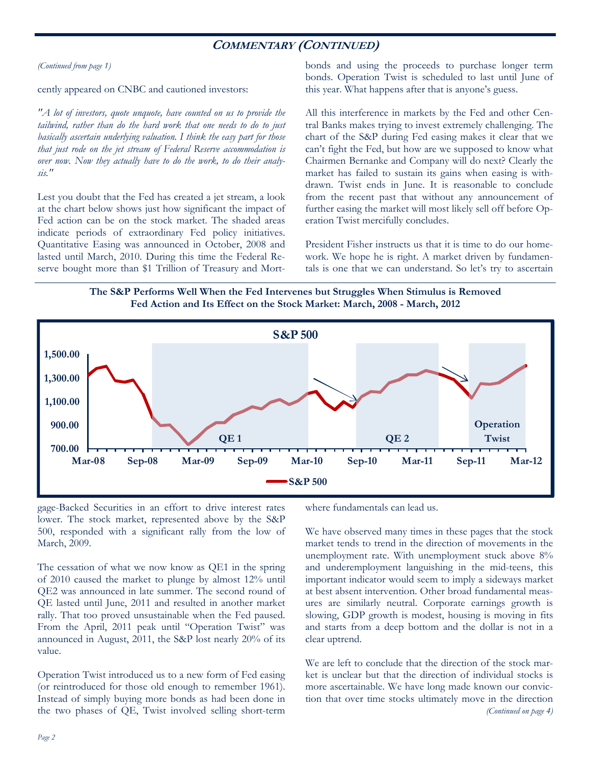### **COMMENTARY (CONTINUED)**

*(Continued from page 1)* 

cently appeared on CNBC and cautioned investors:

*"A lot of investors, quote unquote, have counted on us to provide the tailwind, rather than do the hard work that one needs to do to just basically ascertain underlying valuation. I think the easy part for those that just rode on the jet stream of Federal Reserve accommodation is over now. Now they actually have to do the work, to do their analysis."* 

Lest you doubt that the Fed has created a jet stream, a look at the chart below shows just how significant the impact of Fed action can be on the stock market. The shaded areas indicate periods of extraordinary Fed policy initiatives. Quantitative Easing was announced in October, 2008 and lasted until March, 2010. During this time the Federal Reserve bought more than \$1 Trillion of Treasury and Mortbonds and using the proceeds to purchase longer term bonds. Operation Twist is scheduled to last until June of this year. What happens after that is anyone's guess.

All this interference in markets by the Fed and other Central Banks makes trying to invest extremely challenging. The chart of the S&P during Fed easing makes it clear that we can't fight the Fed, but how are we supposed to know what Chairmen Bernanke and Company will do next? Clearly the market has failed to sustain its gains when easing is withdrawn. Twist ends in June. It is reasonable to conclude from the recent past that without any announcement of further easing the market will most likely sell off before Operation Twist mercifully concludes.

President Fisher instructs us that it is time to do our homework. We hope he is right. A market driven by fundamentals is one that we can understand. So let's try to ascertain

**The S&P Performs Well When the Fed Intervenes but Struggles When Stimulus is Removed Fed Action and Its Effect on the Stock Market: March, 2008 - March, 2012** 



gage-Backed Securities in an effort to drive interest rates lower. The stock market, represented above by the S&P 500, responded with a significant rally from the low of March, 2009.

The cessation of what we now know as QE1 in the spring of 2010 caused the market to plunge by almost 12% until QE2 was announced in late summer. The second round of QE lasted until June, 2011 and resulted in another market rally. That too proved unsustainable when the Fed paused. From the April, 2011 peak until "Operation Twist" was announced in August, 2011, the S&P lost nearly 20% of its value.

Operation Twist introduced us to a new form of Fed easing (or reintroduced for those old enough to remember 1961). Instead of simply buying more bonds as had been done in the two phases of QE, Twist involved selling short-term

where fundamentals can lead us.

We have observed many times in these pages that the stock market tends to trend in the direction of movements in the unemployment rate. With unemployment stuck above 8% and underemployment languishing in the mid-teens, this important indicator would seem to imply a sideways market at best absent intervention. Other broad fundamental measures are similarly neutral. Corporate earnings growth is slowing, GDP growth is modest, housing is moving in fits and starts from a deep bottom and the dollar is not in a clear uptrend.

We are left to conclude that the direction of the stock market is unclear but that the direction of individual stocks is more ascertainable. We have long made known our conviction that over time stocks ultimately move in the direction *(Continued on page 4)*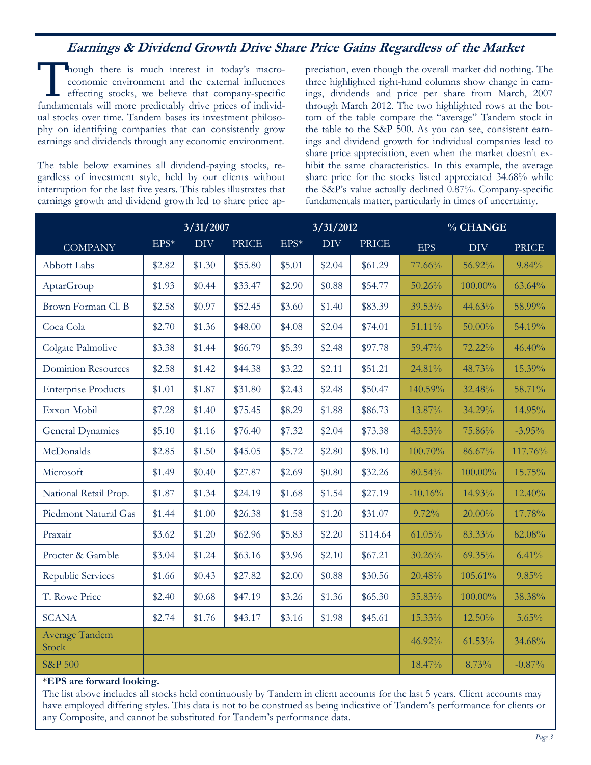## **Earnings & Dividend Growth Drive Share Price Gains Regardless of the Market**

I hough there is much interest in today's macroeconomic environment and the external influences effecting stocks, we believe that company-specific fundamentals will more predictably drive prices of individual stocks over time. Tandem bases its investment philosophy on identifying companies that can consistently grow earnings and dividends through any economic environment.

The table below examines all dividend-paying stocks, regardless of investment style, held by our clients without interruption for the last five years. This tables illustrates that earnings growth and dividend growth led to share price appreciation, even though the overall market did nothing. The three highlighted right-hand columns show change in earnings, dividends and price per share from March, 2007 through March 2012. The two highlighted rows at the bottom of the table compare the "average" Tandem stock in the table to the S&P 500. As you can see, consistent earnings and dividend growth for individual companies lead to share price appreciation, even when the market doesn't exhibit the same characteristics. In this example, the average share price for the stocks listed appreciated 34.68% while the S&P's value actually declined 0.87%. Company-specific fundamentals matter, particularly in times of uncertainty.

|                            | 3/31/2007 |        |              | 3/31/2012     |            | % CHANGE     |           |            |              |
|----------------------------|-----------|--------|--------------|---------------|------------|--------------|-----------|------------|--------------|
| <b>COMPANY</b>             | $EPS*$    | DIV    | <b>PRICE</b> | $\text{EPS}*$ | <b>DIV</b> | <b>PRICE</b> | EPS       | <b>DIV</b> | <b>PRICE</b> |
| <b>Abbott Labs</b>         | \$2.82    | \$1.30 | \$55.80      | \$5.01        | \$2.04     | \$61.29      | 77.66%    | 56.92%     | 9.84%        |
| AptarGroup                 | \$1.93    | \$0.44 | \$33.47      | \$2.90        | \$0.88     | \$54.77      | 50.26%    | 100.00%    | 63.64%       |
| Brown Forman Cl. B         | \$2.58    | \$0.97 | \$52.45      | \$3.60        | \$1.40     | \$83.39      | 39.53%    | 44.63%     | 58.99%       |
| Coca Cola                  | \$2.70    | \$1.36 | \$48.00      | \$4.08        | \$2.04     | \$74.01      | 51.11%    | 50.00%     | 54.19%       |
| Colgate Palmolive          | \$3.38    | \$1.44 | \$66.79      | \$5.39        | \$2.48     | \$97.78      | 59.47%    | 72.22%     | 46.40%       |
| <b>Dominion Resources</b>  | \$2.58    | \$1.42 | \$44.38      | \$3.22        | \$2.11     | \$51.21      | 24.81%    | 48.73%     | 15.39%       |
| <b>Enterprise Products</b> | \$1.01    | \$1.87 | \$31.80      | \$2.43        | \$2.48     | \$50.47      | 140.59%   | 32.48%     | 58.71%       |
| Exxon Mobil                | \$7.28    | \$1.40 | \$75.45      | \$8.29        | \$1.88     | \$86.73      | 13.87%    | 34.29%     | 14.95%       |
| General Dynamics           | \$5.10    | \$1.16 | \$76.40      | \$7.32        | \$2.04     | \$73.38      | 43.53%    | 75.86%     | $-3.95%$     |
| McDonalds                  | \$2.85    | \$1.50 | \$45.05      | \$5.72        | \$2.80     | \$98.10      | 100.70%   | 86.67%     | 117.76%      |
| Microsoft                  | \$1.49    | \$0.40 | \$27.87      | \$2.69        | \$0.80     | \$32.26      | 80.54%    | 100.00%    | 15.75%       |
| National Retail Prop.      | \$1.87    | \$1.34 | \$24.19      | \$1.68        | \$1.54     | \$27.19      | $-10.16%$ | 14.93%     | 12.40%       |
| Piedmont Natural Gas       | \$1.44    | \$1.00 | \$26.38      | \$1.58        | \$1.20     | \$31.07      | 9.72%     | 20.00%     | 17.78%       |
| Praxair                    | \$3.62    | \$1.20 | \$62.96      | \$5.83        | \$2.20     | \$114.64     | 61.05%    | 83.33%     | 82.08%       |
| Procter & Gamble           | \$3.04    | \$1.24 | \$63.16      | \$3.96        | \$2.10     | \$67.21      | 30.26%    | 69.35%     | 6.41%        |
| <b>Republic Services</b>   | \$1.66    | \$0.43 | \$27.82      | \$2.00        | \$0.88     | \$30.56      | 20.48%    | 105.61%    | 9.85%        |
| T. Rowe Price              | \$2.40    | \$0.68 | \$47.19      | \$3.26        | \$1.36     | \$65.30      | 35.83%    | 100.00%    | 38.38%       |
| <b>SCANA</b>               | \$2.74    | \$1.76 | \$43.17      | \$3.16        | \$1.98     | \$45.61      | 15.33%    | $12.50\%$  | 5.65%        |
| Average Tandem<br>Stock    |           |        |              |               |            |              | 46.92%    | 61.53%     | 34.68%       |
| <b>S&amp;P 500</b>         |           |        |              |               |            |              | 18.47%    | 8.73%      | $-0.87%$     |

#### \***EPS are forward looking.**

The list above includes all stocks held continuously by Tandem in client accounts for the last 5 years. Client accounts may have employed differing styles. This data is not to be construed as being indicative of Tandem's performance for clients or any Composite, and cannot be substituted for Tandem's performance data.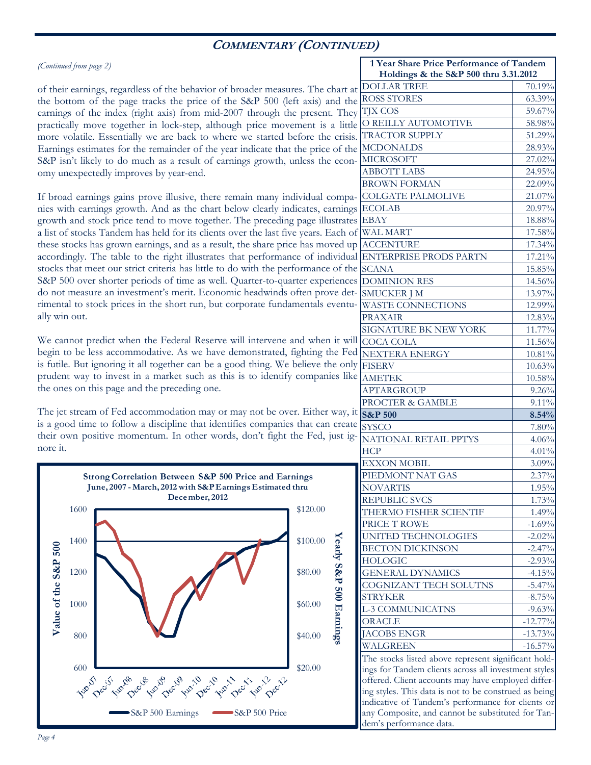## **COMMENTARY (CONTINUED)**

| (Continued from page 2) |  |  |
|-------------------------|--|--|
|                         |  |  |

of their earnings, regardless of the behavior of broader measures. The chart at the bottom of the page tracks the price of the S&P 500 (left axis) and the earnings of the index (right axis) from mid-2007 through the present. They practically move together in lock-step, although price movement is a little more volatile. Essentially we are back to where we started before the crisis. Earnings estimates for the remainder of the year indicate that the price of the S&P isn't likely to do much as a result of earnings growth, unless the economy unexpectedly improves by year-end.

If broad earnings gains prove illusive, there remain many individual companies with earnings growth. And as the chart below clearly indicates, earnings growth and stock price tend to move together. The preceding page illustrates a list of stocks Tandem has held for its clients over the last five years. Each of these stocks has grown earnings, and as a result, the share price has moved up accordingly. The table to the right illustrates that performance of individual stocks that meet our strict criteria has little to do with the performance of the S&P 500 over shorter periods of time as well. Quarter-to-quarter experiences do not measure an investment's merit. Economic headwinds often prove detrimental to stock prices in the short run, but corporate fundamentals eventually win out.

We cannot predict when the Federal Reserve will intervene and when it will begin to be less accommodative. As we have demonstrated, fighting the Fed is futile. But ignoring it all together can be a good thing. We believe the only prudent way to invest in a market such as this is to identify companies like the ones on this page and the preceding one.

The jet stream of Fed accommodation may or may not be over. Either way, it is a good time to follow a discipline that identifies companies that can create their own positive momentum. In other words, don't fight the Fed, just ignore it.



| 1 Year Share Price Performance of Tandem              |            |  |  |  |  |  |
|-------------------------------------------------------|------------|--|--|--|--|--|
| Holdings & the S&P 500 thru 3.31.2012                 |            |  |  |  |  |  |
| <b>DOLLAR TREE</b>                                    | 70.19%     |  |  |  |  |  |
| <b>ROSS STORES</b>                                    | 63.39%     |  |  |  |  |  |
| <b>TJX COS</b>                                        | 59.67%     |  |  |  |  |  |
| O REILLY AUTOMOTIVE                                   | 58.98%     |  |  |  |  |  |
| <b>TRACTOR SUPPLY</b>                                 | 51.29%     |  |  |  |  |  |
| <b>MCDONALDS</b>                                      | 28.93%     |  |  |  |  |  |
| <b>MICROSOFT</b>                                      | 27.02%     |  |  |  |  |  |
| <b>ABBOTT LABS</b>                                    | 24.95%     |  |  |  |  |  |
| <b>BROWN FORMAN</b>                                   | 22.09%     |  |  |  |  |  |
| <b>COLGATE PALMOLIVE</b>                              | 21.07%     |  |  |  |  |  |
| <b>ECOLAB</b>                                         | 20.97%     |  |  |  |  |  |
| <b>EBAY</b>                                           | 18.88%     |  |  |  |  |  |
| <b>WAL MART</b>                                       | 17.58%     |  |  |  |  |  |
| <b>ACCENTURE</b>                                      | 17.34%     |  |  |  |  |  |
| <b>ENTERPRISE PRODS PARTN</b>                         | 17.21%     |  |  |  |  |  |
| <b>SCANA</b>                                          | 15.85%     |  |  |  |  |  |
| <b>DOMINION RES</b>                                   | 14.56%     |  |  |  |  |  |
| <b>SMUCKER J M</b>                                    |            |  |  |  |  |  |
|                                                       | 13.97%     |  |  |  |  |  |
| <b>WASTE CONNECTIONS</b>                              | 12.99%     |  |  |  |  |  |
| <b>PRAXAIR</b>                                        | 12.83%     |  |  |  |  |  |
| SIGNATURE BK NEW YORK                                 | 11.77%     |  |  |  |  |  |
| <b>COCA COLA</b>                                      | 11.56%     |  |  |  |  |  |
| <b>NEXTERA ENERGY</b>                                 | 10.81%     |  |  |  |  |  |
| <b>FISERV</b>                                         | 10.63%     |  |  |  |  |  |
| <b>AMETEK</b>                                         | $10.58\%$  |  |  |  |  |  |
| <b>APTARGROUP</b>                                     | 9.26%      |  |  |  |  |  |
| PROCTER & GAMBLE                                      | $9.11\%$   |  |  |  |  |  |
| <b>S&amp;P 500</b>                                    | 8.54%      |  |  |  |  |  |
| <b>SYSCO</b>                                          | $7.80\%$   |  |  |  |  |  |
| NATIONAL RETAIL PPTYS                                 | 4.06%      |  |  |  |  |  |
| <b>HCP</b>                                            | 4.01%      |  |  |  |  |  |
| <b>EXXON MOBIL</b>                                    | 3.09%      |  |  |  |  |  |
| PIEDMONT NAT GAS                                      | 2.37%      |  |  |  |  |  |
| <b>NOVARTIS</b>                                       | 1.95%      |  |  |  |  |  |
| REPUBLIC SVCS                                         | 1.73%      |  |  |  |  |  |
| THERMO FISHER SCIENTIF                                | 1.49%      |  |  |  |  |  |
| PRICE T ROWE                                          | $-1.69%$   |  |  |  |  |  |
| UNITED TECHNOLOGIES                                   | $-2.02%$   |  |  |  |  |  |
| <b>BECTON DICKINSON</b>                               | $-2.47%$   |  |  |  |  |  |
| <b>HOLOGIC</b>                                        | $-2.93%$   |  |  |  |  |  |
| <b>GENERAL DYNAMICS</b>                               | $-4.15%$   |  |  |  |  |  |
|                                                       |            |  |  |  |  |  |
| COGNIZANT TECH SOLUTNS                                | $-5.47%$   |  |  |  |  |  |
| <b>STRYKER</b>                                        | $-8.75%$   |  |  |  |  |  |
| L-3 COMMUNICATNS                                      | $-9.63%$   |  |  |  |  |  |
| <b>ORACLE</b>                                         | $-12.77\%$ |  |  |  |  |  |
| JACOBS ENGR                                           | $-13.73%$  |  |  |  |  |  |
| WALGREEN                                              | $-16.57\%$ |  |  |  |  |  |
| The stocks listed above represent significant hold-   |            |  |  |  |  |  |
| ings for Tandem clients across all investment styles  |            |  |  |  |  |  |
| offered. Client accounts may have employed differ-    |            |  |  |  |  |  |
| ing styles. This data is not to be construed as being |            |  |  |  |  |  |
| indicative of Tandem's performance for clients or     |            |  |  |  |  |  |
| any Composite, and cannot be substituted for Tan-     |            |  |  |  |  |  |

dem's performance data.

**Yearly S&P 500 Earnings** Yearly S&P 500 Earning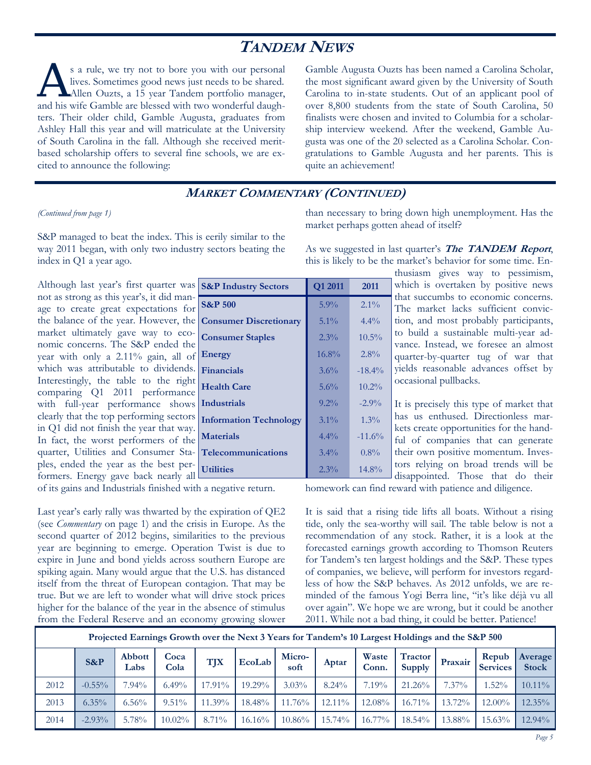# **TANDEM NEWS**

s a rule, we try not to bore you with our personal<br>lives. Sometimes good news just needs to be shared.<br>Allen Ouzts, a 15 year Tandem portfolio manager, lives. Sometimes good news just needs to be shared. and his wife Gamble are blessed with two wonderful daughters. Their older child, Gamble Augusta, graduates from Ashley Hall this year and will matriculate at the University of South Carolina in the fall. Although she received meritbased scholarship offers to several fine schools, we are excited to announce the following:

Gamble Augusta Ouzts has been named a Carolina Scholar, the most significant award given by the University of South Carolina to in-state students. Out of an applicant pool of over 8,800 students from the state of South Carolina, 50 finalists were chosen and invited to Columbia for a scholarship interview weekend. After the weekend, Gamble Augusta was one of the 20 selected as a Carolina Scholar. Congratulations to Gamble Augusta and her parents. This is quite an achievement!

#### **MARKET COMMENTARY (CONTINUED)**

#### *(Continued from page 1)*

S&P managed to beat the index. This is eerily similar to the way 2011 began, with only two industry sectors beating the index in Q1 a year ago.

Although last year's first quarter was  $\frac{1}{5}$ not as strong as this year's, it did manage to create great expectations for the balance of the year. However, the  $\alpha$ market ultimately gave way to economic concerns. The S&P ended the year with only a 2.11% gain, all of  $\vert$ which was attributable to dividends.  $\mathbf{r}$ Interestingly, the table to the right comparing Q1 2011 performance with full-year performance shows I clearly that the top performing sectors  $\vert$ in Q1 did not finish the year that way. In fact, the worst performers of the quarter, Utilities and Consumer Staples, ended the year as the best performers. Energy gave back nearly all

of its gains and Industrials finished with a negative return.

Last year's early rally was thwarted by the expiration of QE2 (see *Commentary* on page 1) and the crisis in Europe. As the second quarter of 2012 begins, similarities to the previous year are beginning to emerge. Operation Twist is due to expire in June and bond yields across southern Europe are spiking again. Many would argue that the U.S. has distanced itself from the threat of European contagion. That may be true. But we are left to wonder what will drive stock prices higher for the balance of the year in the absence of stimulus from the Federal Reserve and an economy growing slower than necessary to bring down high unemployment. Has the market perhaps gotten ahead of itself?

As we suggested in last quarter's **The TANDEM Report**, this is likely to be the market's behavior for some time. En-

> thusiasm gives way to pessimism, which is overtaken by positive news that succumbs to economic concerns. The market lacks sufficient conviction, and most probably participants, to build a sustainable multi-year advance. Instead, we foresee an almost quarter-by-quarter tug of war that yields reasonable advances offset by occasional pullbacks.

It is precisely this type of market that has us enthused. Directionless markets create opportunities for the handful of companies that can generate their own positive momentum. Investors relying on broad trends will be disappointed. Those that do their

homework can find reward with patience and diligence.

It is said that a rising tide lifts all boats. Without a rising tide, only the sea-worthy will sail. The table below is not a recommendation of any stock. Rather, it is a look at the forecasted earnings growth according to Thomson Reuters for Tandem's ten largest holdings and the S&P. These types of companies, we believe, will perform for investors regardless of how the S&P behaves. As 2012 unfolds, we are reminded of the famous Yogi Berra line, "it's like déjà vu all over again". We hope we are wrong, but it could be another 2011. While not a bad thing, it could be better. Patience!

| Projected Earnings Growth over the Next 3 Years for Tandem's 10 Largest Holdings and the S&P 500 |           |                       |              |            |           |                |           |                |                                 |          |                          |                         |
|--------------------------------------------------------------------------------------------------|-----------|-----------------------|--------------|------------|-----------|----------------|-----------|----------------|---------------------------------|----------|--------------------------|-------------------------|
|                                                                                                  | $S\&P$    | <b>Abbott</b><br>Labs | Coca<br>Cola | <b>TJX</b> | EcoLab    | Micro-<br>soft | Aptar     | Waste<br>Conn. | <b>Tractor</b><br><b>Supply</b> | Praxair  | Repub<br><b>Services</b> | Average<br><b>Stock</b> |
| 2012                                                                                             | $-0.55\%$ | 7.94%                 | $6.49\%$     | 17.91%     | $19.29\%$ | $3.03\%$       | $8.24\%$  | $7.19\%$       | $21.26\%$                       | $7.37\%$ | $1.52\%$                 | $10.11\%$               |
| 2013                                                                                             | $6.35\%$  | $6.56\%$              | $9.51\%$     | $11.39\%$  | 18.48%    | 11.76%         | $12.11\%$ | 12.08%         | $16.71\%$                       | 13.72%   | $12.00\%$                | $12.35\%$               |
| 2014                                                                                             | $-2.93\%$ | 5.78%                 | $10.02\%$    | $8.71\%$   | $16.16\%$ | $10.86\%$      | 15.74%    | 16.77%         | $18.54\%$                       | 13.88%   | 15.63%                   | $12.94\%$               |

| Q1 2011 | 2011     |
|---------|----------|
| 5.9%    | $2.1\%$  |
| $5.1\%$ | $4.4\%$  |
| $2.3\%$ | $10.5\%$ |
| 16.8%   | $2.8\%$  |
| 3.6%    | $-18.4%$ |
| 5.6%    | $10.2\%$ |
| $9.2\%$ | $-2.9\%$ |
| $3.1\%$ | $1.3\%$  |
| $4.4\%$ | $-11.6%$ |
| $3.4\%$ | $0.8\%$  |
| $2.3\%$ | $14.8\%$ |
|         |          |